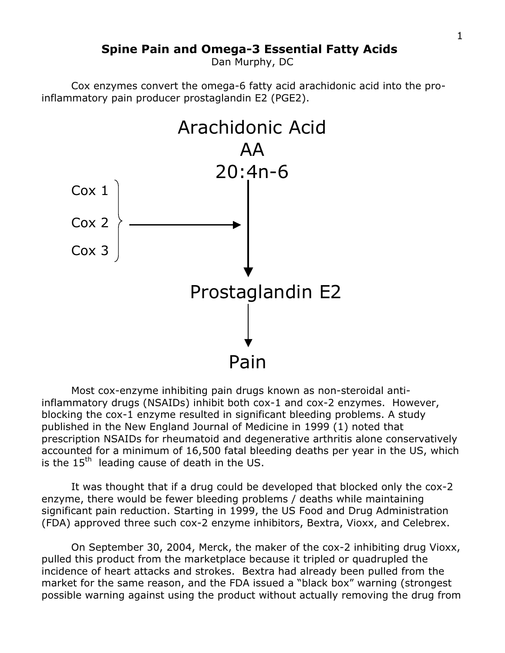# **Spine Pain and Omega-3 Essential Fatty Acids**

Dan Murphy, DC

Cox enzymes convert the omega-6 fatty acid arachidonic acid into the proinflammatory pain producer prostaglandin E2 (PGE2).



Most cox-enzyme inhibiting pain drugs known as non-steroidal antiinflammatory drugs (NSAIDs) inhibit both cox-1 and cox-2 enzymes. However, blocking the cox-1 enzyme resulted in significant bleeding problems. A study published in the New England Journal of Medicine in 1999 (1) noted that prescription NSAIDs for rheumatoid and degenerative arthritis alone conservatively accounted for a minimum of 16,500 fatal bleeding deaths per year in the US, which is the  $15<sup>th</sup>$  leading cause of death in the US.

It was thought that if a drug could be developed that blocked only the cox-2 enzyme, there would be fewer bleeding problems / deaths while maintaining significant pain reduction. Starting in 1999, the US Food and Drug Administration (FDA) approved three such cox-2 enzyme inhibitors, Bextra, Vioxx, and Celebrex.

On September 30, 2004, Merck, the maker of the cox-2 inhibiting drug Vioxx, pulled this product from the marketplace because it tripled or quadrupled the incidence of heart attacks and strokes. Bextra had already been pulled from the market for the same reason, and the FDA issued a "black box" warning (strongest possible warning against using the product without actually removing the drug from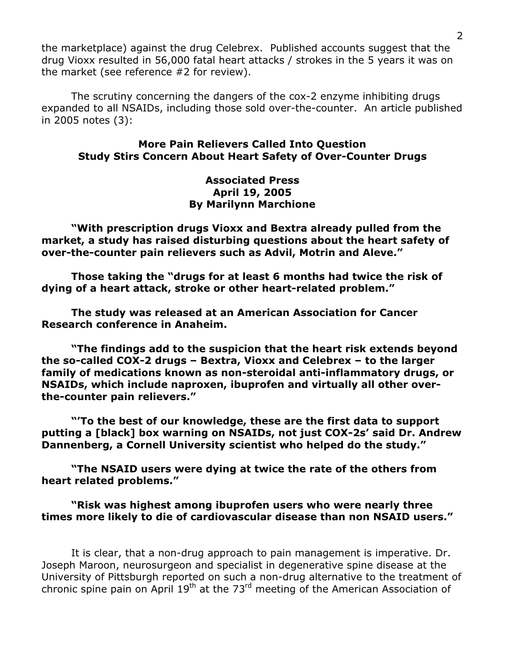the marketplace) against the drug Celebrex. Published accounts suggest that the drug Vioxx resulted in 56,000 fatal heart attacks / strokes in the 5 years it was on the market (see reference #2 for review).

The scrutiny concerning the dangers of the cox-2 enzyme inhibiting drugs expanded to all NSAIDs, including those sold over-the-counter. An article published in 2005 notes (3):

## **More Pain Relievers Called Into Question Study Stirs Concern About Heart Safety of Over-Counter Drugs**

#### **Associated Press April 19, 2005 By Marilynn Marchione**

**"With prescription drugs Vioxx and Bextra already pulled from the market, a study has raised disturbing questions about the heart safety of over-the-counter pain relievers such as Advil, Motrin and Aleve."**

**Those taking the "drugs for at least 6 months had twice the risk of dying of a heart attack, stroke or other heart-related problem."**

**The study was released at an American Association for Cancer Research conference in Anaheim.**

**"The findings add to the suspicion that the heart risk extends beyond the so-called COX-2 drugs – Bextra, Vioxx and Celebrex – to the larger family of medications known as non-steroidal anti-inflammatory drugs, or NSAIDs, which include naproxen, ibuprofen and virtually all other overthe-counter pain relievers."**

**"'To the best of our knowledge, these are the first data to support putting a [black] box warning on NSAIDs, not just COX-2s' said Dr. Andrew Dannenberg, a Cornell University scientist who helped do the study."**

**"The NSAID users were dying at twice the rate of the others from heart related problems."**

**"Risk was highest among ibuprofen users who were nearly three times more likely to die of cardiovascular disease than non NSAID users."**

It is clear, that a non-drug approach to pain management is imperative. Dr. Joseph Maroon, neurosurgeon and specialist in degenerative spine disease at the University of Pittsburgh reported on such a non-drug alternative to the treatment of chronic spine pain on April  $19<sup>th</sup>$  at the 73<sup>rd</sup> meeting of the American Association of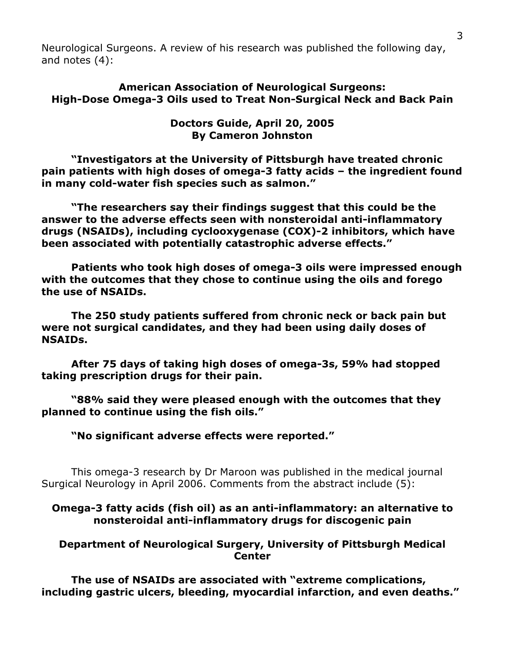Neurological Surgeons. A review of his research was published the following day, and notes (4):

# **American Association of Neurological Surgeons: High-Dose Omega-3 Oils used to Treat Non-Surgical Neck and Back Pain**

# **Doctors Guide, April 20, 2005 By Cameron Johnston**

**"Investigators at the University of Pittsburgh have treated chronic pain patients with high doses of omega-3 fatty acids – the ingredient found in many cold-water fish species such as salmon."**

**"The researchers say their findings suggest that this could be the answer to the adverse effects seen with nonsteroidal anti-inflammatory drugs (NSAIDs), including cyclooxygenase (COX)-2 inhibitors, which have been associated with potentially catastrophic adverse effects."**

**Patients who took high doses of omega-3 oils were impressed enough with the outcomes that they chose to continue using the oils and forego the use of NSAIDs.**

**The 250 study patients suffered from chronic neck or back pain but were not surgical candidates, and they had been using daily doses of NSAIDs.**

**After 75 days of taking high doses of omega-3s, 59% had stopped taking prescription drugs for their pain.**

**"88% said they were pleased enough with the outcomes that they planned to continue using the fish oils."**

**"No significant adverse effects were reported."**

This omega-3 research by Dr Maroon was published in the medical journal Surgical Neurology in April 2006. Comments from the abstract include (5):

**Omega-3 fatty acids (fish oil) as an anti-inflammatory: an alternative to nonsteroidal anti-inflammatory drugs for discogenic pain**

**Department of Neurological Surgery, University of Pittsburgh Medical Center**

**The use of NSAIDs are associated with "extreme complications, including gastric ulcers, bleeding, myocardial infarction, and even deaths."**